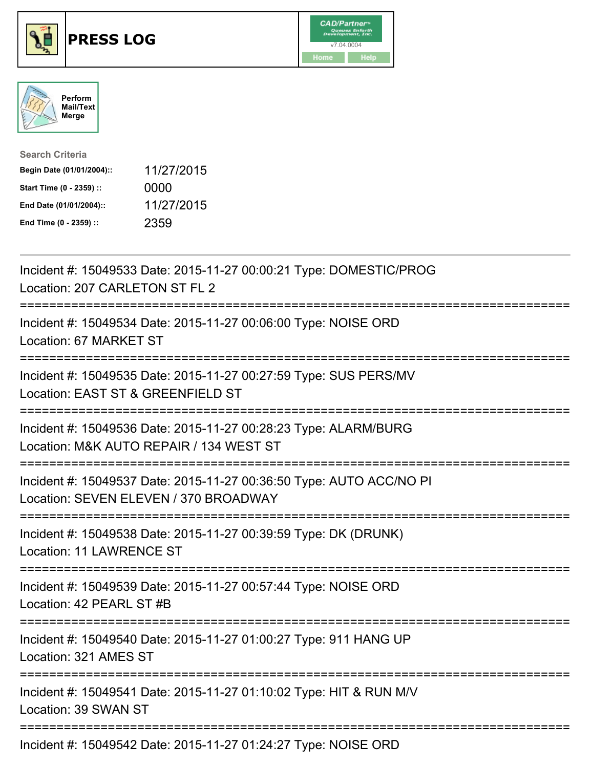





| <b>Search Criteria</b>    |            |
|---------------------------|------------|
| Begin Date (01/01/2004):: | 11/27/2015 |
| Start Time (0 - 2359) ::  | 0000       |
| End Date (01/01/2004)::   | 11/27/2015 |
| End Time (0 - 2359) ::    | 2359       |

| Incident #: 15049533 Date: 2015-11-27 00:00:21 Type: DOMESTIC/PROG<br>Location: 207 CARLETON ST FL 2                                               |
|----------------------------------------------------------------------------------------------------------------------------------------------------|
| Incident #: 15049534 Date: 2015-11-27 00:06:00 Type: NOISE ORD<br>Location: 67 MARKET ST<br>===============                                        |
| Incident #: 15049535 Date: 2015-11-27 00:27:59 Type: SUS PERS/MV<br>Location: EAST ST & GREENFIELD ST                                              |
| Incident #: 15049536 Date: 2015-11-27 00:28:23 Type: ALARM/BURG<br>Location: M&K AUTO REPAIR / 134 WEST ST                                         |
| Incident #: 15049537 Date: 2015-11-27 00:36:50 Type: AUTO ACC/NO PI<br>Location: SEVEN ELEVEN / 370 BROADWAY                                       |
| Incident #: 15049538 Date: 2015-11-27 00:39:59 Type: DK (DRUNK)<br><b>Location: 11 LAWRENCE ST</b><br>:============================<br>----------- |
| Incident #: 15049539 Date: 2015-11-27 00:57:44 Type: NOISE ORD<br>Location: 42 PEARL ST #B                                                         |
| Incident #: 15049540 Date: 2015-11-27 01:00:27 Type: 911 HANG UP<br>Location: 321 AMES ST                                                          |
| Incident #: 15049541 Date: 2015-11-27 01:10:02 Type: HIT & RUN M/V<br>Location: 39 SWAN ST                                                         |
| Incident #: 15049542 Date: 2015-11-27 01:24:27 Type: NOISE ORD                                                                                     |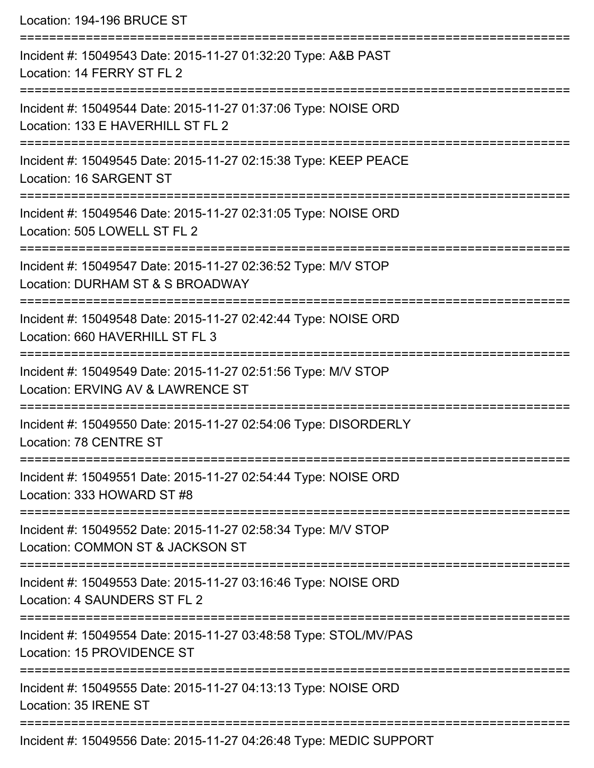| Location: 194-196 BRUCE ST                                                                                                            |
|---------------------------------------------------------------------------------------------------------------------------------------|
| Incident #: 15049543 Date: 2015-11-27 01:32:20 Type: A&B PAST<br>Location: 14 FERRY ST FL 2                                           |
| Incident #: 15049544 Date: 2015-11-27 01:37:06 Type: NOISE ORD<br>Location: 133 E HAVERHILL ST FL 2                                   |
| Incident #: 15049545 Date: 2015-11-27 02:15:38 Type: KEEP PEACE<br>Location: 16 SARGENT ST                                            |
| ===================================<br>Incident #: 15049546 Date: 2015-11-27 02:31:05 Type: NOISE ORD<br>Location: 505 LOWELL ST FL 2 |
| Incident #: 15049547 Date: 2015-11-27 02:36:52 Type: M/V STOP<br>Location: DURHAM ST & S BROADWAY                                     |
| ==========================<br>Incident #: 15049548 Date: 2015-11-27 02:42:44 Type: NOISE ORD<br>Location: 660 HAVERHILL ST FL 3       |
| Incident #: 15049549 Date: 2015-11-27 02:51:56 Type: M/V STOP<br>Location: ERVING AV & LAWRENCE ST                                    |
| =================<br>Incident #: 15049550 Date: 2015-11-27 02:54:06 Type: DISORDERLY<br>Location: 78 CENTRE ST                        |
| Incident #: 15049551 Date: 2015-11-27 02:54:44 Type: NOISE ORD<br>Location: 333 HOWARD ST #8                                          |
| Incident #: 15049552 Date: 2015-11-27 02:58:34 Type: M/V STOP<br>Location: COMMON ST & JACKSON ST                                     |
| Incident #: 15049553 Date: 2015-11-27 03:16:46 Type: NOISE ORD<br>Location: 4 SAUNDERS ST FL 2                                        |
| Incident #: 15049554 Date: 2015-11-27 03:48:58 Type: STOL/MV/PAS<br>Location: 15 PROVIDENCE ST                                        |
| Incident #: 15049555 Date: 2015-11-27 04:13:13 Type: NOISE ORD<br>Location: 35 IRENE ST                                               |
| Incident #: 15049556 Date: 2015-11-27 04:26:48 Type: MEDIC SUPPORT                                                                    |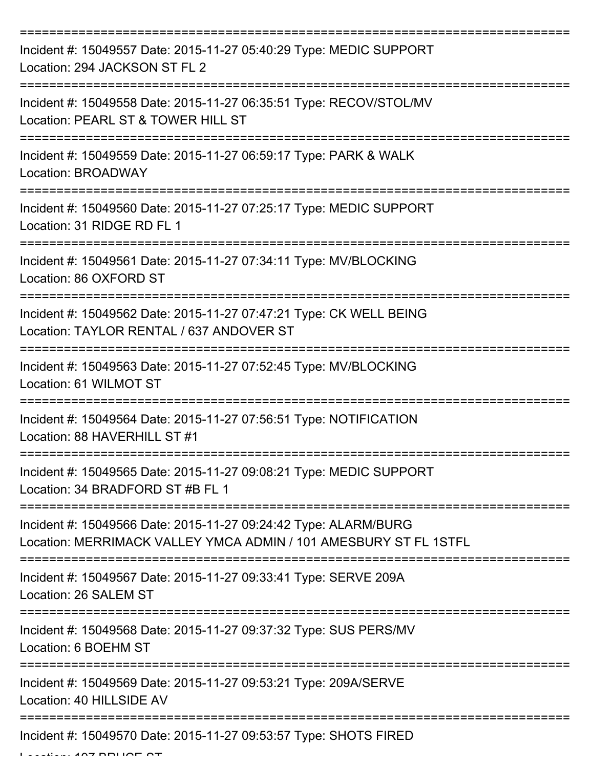| Incident #: 15049557 Date: 2015-11-27 05:40:29 Type: MEDIC SUPPORT<br>Location: 294 JACKSON ST FL 2                                 |
|-------------------------------------------------------------------------------------------------------------------------------------|
| Incident #: 15049558 Date: 2015-11-27 06:35:51 Type: RECOV/STOL/MV<br>Location: PEARL ST & TOWER HILL ST                            |
| Incident #: 15049559 Date: 2015-11-27 06:59:17 Type: PARK & WALK<br>Location: BROADWAY                                              |
| Incident #: 15049560 Date: 2015-11-27 07:25:17 Type: MEDIC SUPPORT<br>Location: 31 RIDGE RD FL 1                                    |
| Incident #: 15049561 Date: 2015-11-27 07:34:11 Type: MV/BLOCKING<br>Location: 86 OXFORD ST                                          |
| Incident #: 15049562 Date: 2015-11-27 07:47:21 Type: CK WELL BEING<br>Location: TAYLOR RENTAL / 637 ANDOVER ST                      |
| Incident #: 15049563 Date: 2015-11-27 07:52:45 Type: MV/BLOCKING<br>Location: 61 WILMOT ST                                          |
| Incident #: 15049564 Date: 2015-11-27 07:56:51 Type: NOTIFICATION<br>Location: 88 HAVERHILL ST #1                                   |
| Incident #: 15049565 Date: 2015-11-27 09:08:21 Type: MEDIC SUPPORT<br>Location: 34 BRADFORD ST #B FL 1                              |
| Incident #: 15049566 Date: 2015-11-27 09:24:42 Type: ALARM/BURG<br>Location: MERRIMACK VALLEY YMCA ADMIN / 101 AMESBURY ST FL 1STFL |
| Incident #: 15049567 Date: 2015-11-27 09:33:41 Type: SERVE 209A<br>Location: 26 SALEM ST                                            |
| Incident #: 15049568 Date: 2015-11-27 09:37:32 Type: SUS PERS/MV<br>Location: 6 BOEHM ST                                            |
| Incident #: 15049569 Date: 2015-11-27 09:53:21 Type: 209A/SERVE<br>Location: 40 HILLSIDE AV                                         |
| Incident #: 15049570 Date: 2015-11-27 09:53:57 Type: SHOTS FIRED                                                                    |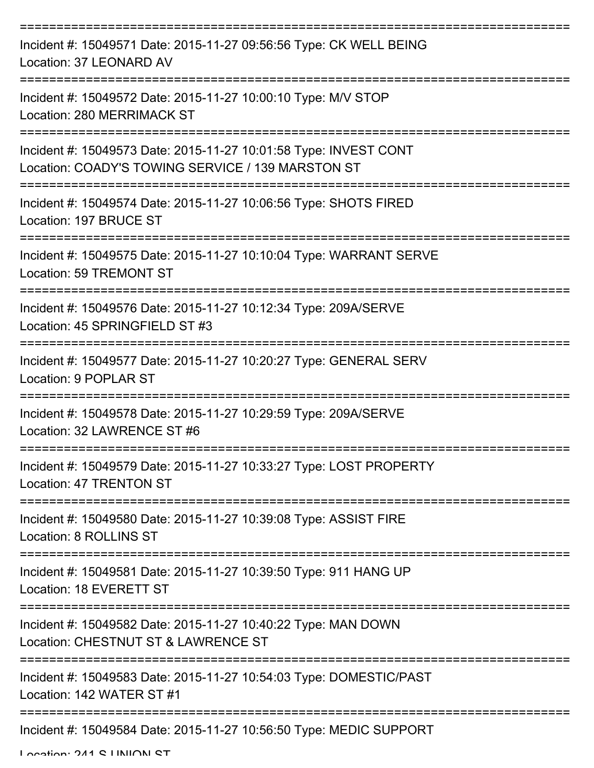| Incident #: 15049571 Date: 2015-11-27 09:56:56 Type: CK WELL BEING<br>Location: 37 LEONARD AV                         |
|-----------------------------------------------------------------------------------------------------------------------|
| Incident #: 15049572 Date: 2015-11-27 10:00:10 Type: M/V STOP<br>Location: 280 MERRIMACK ST                           |
| Incident #: 15049573 Date: 2015-11-27 10:01:58 Type: INVEST CONT<br>Location: COADY'S TOWING SERVICE / 139 MARSTON ST |
| Incident #: 15049574 Date: 2015-11-27 10:06:56 Type: SHOTS FIRED<br>Location: 197 BRUCE ST                            |
| Incident #: 15049575 Date: 2015-11-27 10:10:04 Type: WARRANT SERVE<br><b>Location: 59 TREMONT ST</b>                  |
| Incident #: 15049576 Date: 2015-11-27 10:12:34 Type: 209A/SERVE<br>Location: 45 SPRINGFIELD ST #3                     |
| Incident #: 15049577 Date: 2015-11-27 10:20:27 Type: GENERAL SERV<br>Location: 9 POPLAR ST                            |
| Incident #: 15049578 Date: 2015-11-27 10:29:59 Type: 209A/SERVE<br>Location: 32 LAWRENCE ST #6                        |
| Incident #: 15049579 Date: 2015-11-27 10:33:27 Type: LOST PROPERTY<br>Location: 47 TRENTON ST                         |
| Incident #: 15049580 Date: 2015-11-27 10:39:08 Type: ASSIST FIRE<br>Location: 8 ROLLINS ST                            |
| Incident #: 15049581 Date: 2015-11-27 10:39:50 Type: 911 HANG UP<br>Location: 18 EVERETT ST                           |
| Incident #: 15049582 Date: 2015-11-27 10:40:22 Type: MAN DOWN<br>Location: CHESTNUT ST & LAWRENCE ST                  |
| Incident #: 15049583 Date: 2015-11-27 10:54:03 Type: DOMESTIC/PAST<br>Location: 142 WATER ST #1                       |
| Incident #: 15049584 Date: 2015-11-27 10:56:50 Type: MEDIC SUPPORT                                                    |

Location: 241 C LINIION CT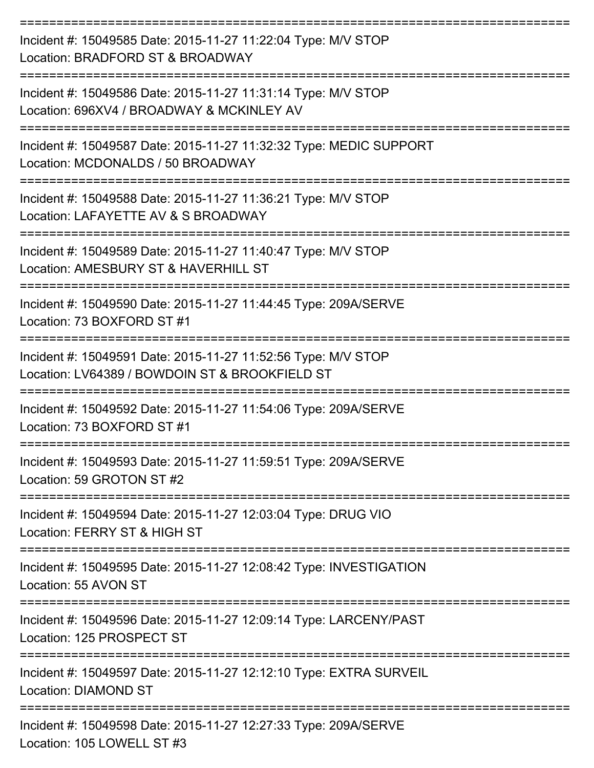| Incident #: 15049585 Date: 2015-11-27 11:22:04 Type: M/V STOP<br>Location: BRADFORD ST & BROADWAY               |
|-----------------------------------------------------------------------------------------------------------------|
| Incident #: 15049586 Date: 2015-11-27 11:31:14 Type: M/V STOP<br>Location: 696XV4 / BROADWAY & MCKINLEY AV      |
| Incident #: 15049587 Date: 2015-11-27 11:32:32 Type: MEDIC SUPPORT<br>Location: MCDONALDS / 50 BROADWAY         |
| Incident #: 15049588 Date: 2015-11-27 11:36:21 Type: M/V STOP<br>Location: LAFAYETTE AV & S BROADWAY            |
| Incident #: 15049589 Date: 2015-11-27 11:40:47 Type: M/V STOP<br>Location: AMESBURY ST & HAVERHILL ST           |
| Incident #: 15049590 Date: 2015-11-27 11:44:45 Type: 209A/SERVE<br>Location: 73 BOXFORD ST #1                   |
| Incident #: 15049591 Date: 2015-11-27 11:52:56 Type: M/V STOP<br>Location: LV64389 / BOWDOIN ST & BROOKFIELD ST |
| Incident #: 15049592 Date: 2015-11-27 11:54:06 Type: 209A/SERVE<br>Location: 73 BOXFORD ST #1                   |
| Incident #: 15049593 Date: 2015-11-27 11:59:51 Type: 209A/SERVE<br>Location: 59 GROTON ST #2                    |
| Incident #: 15049594 Date: 2015-11-27 12:03:04 Type: DRUG VIO<br>Location: FERRY ST & HIGH ST                   |
| Incident #: 15049595 Date: 2015-11-27 12:08:42 Type: INVESTIGATION<br>Location: 55 AVON ST                      |
| Incident #: 15049596 Date: 2015-11-27 12:09:14 Type: LARCENY/PAST<br>Location: 125 PROSPECT ST                  |
| Incident #: 15049597 Date: 2015-11-27 12:12:10 Type: EXTRA SURVEIL<br><b>Location: DIAMOND ST</b>               |
| Incident #: 15049598 Date: 2015-11-27 12:27:33 Type: 209A/SERVE<br>Location: 105 LOWELL ST #3                   |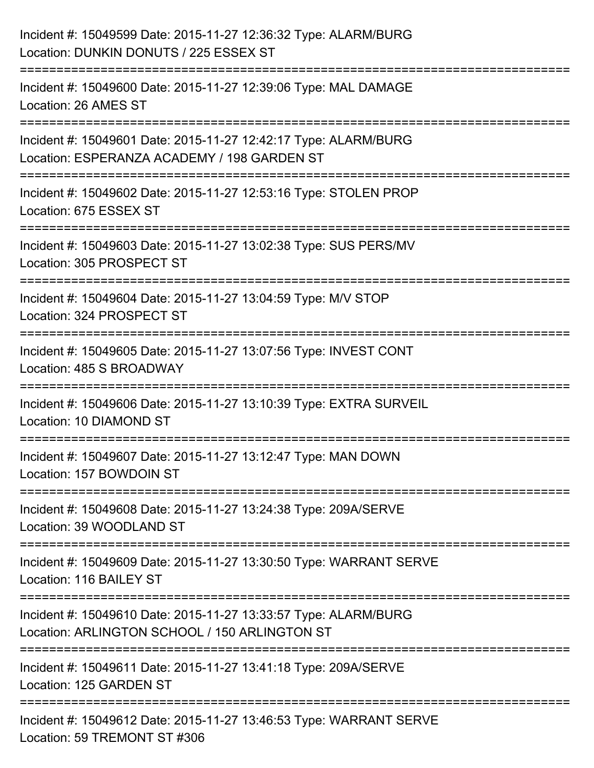| Incident #: 15049599 Date: 2015-11-27 12:36:32 Type: ALARM/BURG<br>Location: DUNKIN DONUTS / 225 ESSEX ST                                             |
|-------------------------------------------------------------------------------------------------------------------------------------------------------|
| Incident #: 15049600 Date: 2015-11-27 12:39:06 Type: MAL DAMAGE<br>Location: 26 AMES ST                                                               |
| Incident #: 15049601 Date: 2015-11-27 12:42:17 Type: ALARM/BURG<br>Location: ESPERANZA ACADEMY / 198 GARDEN ST<br>=================================== |
| Incident #: 15049602 Date: 2015-11-27 12:53:16 Type: STOLEN PROP<br>Location: 675 ESSEX ST                                                            |
| Incident #: 15049603 Date: 2015-11-27 13:02:38 Type: SUS PERS/MV<br>Location: 305 PROSPECT ST                                                         |
| =================================<br>Incident #: 15049604 Date: 2015-11-27 13:04:59 Type: M/V STOP<br>Location: 324 PROSPECT ST                       |
| :==================<br>Incident #: 15049605 Date: 2015-11-27 13:07:56 Type: INVEST CONT<br>Location: 485 S BROADWAY                                   |
| Incident #: 15049606 Date: 2015-11-27 13:10:39 Type: EXTRA SURVEIL<br>Location: 10 DIAMOND ST                                                         |
| Incident #: 15049607 Date: 2015-11-27 13:12:47 Type: MAN DOWN<br>Location: 157 BOWDOIN ST                                                             |
| Incident #: 15049608 Date: 2015-11-27 13:24:38 Type: 209A/SERVE<br>Location: 39 WOODLAND ST                                                           |
| Incident #: 15049609 Date: 2015-11-27 13:30:50 Type: WARRANT SERVE<br>Location: 116 BAILEY ST                                                         |
| Incident #: 15049610 Date: 2015-11-27 13:33:57 Type: ALARM/BURG<br>Location: ARLINGTON SCHOOL / 150 ARLINGTON ST                                      |
| Incident #: 15049611 Date: 2015-11-27 13:41:18 Type: 209A/SERVE<br>Location: 125 GARDEN ST                                                            |
| Incident #: 15049612 Date: 2015-11-27 13:46:53 Type: WARRANT SERVE<br>Location: 59 TREMONT ST #306                                                    |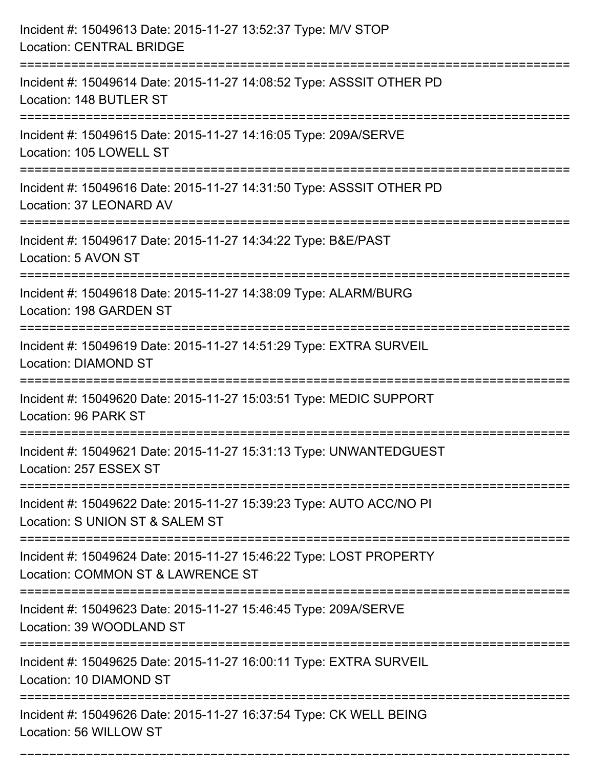| Incident #: 15049613 Date: 2015-11-27 13:52:37 Type: M/V STOP<br><b>Location: CENTRAL BRIDGE</b>                   |
|--------------------------------------------------------------------------------------------------------------------|
| Incident #: 15049614 Date: 2015-11-27 14:08:52 Type: ASSSIT OTHER PD<br>Location: 148 BUTLER ST                    |
| Incident #: 15049615 Date: 2015-11-27 14:16:05 Type: 209A/SERVE<br>Location: 105 LOWELL ST                         |
| Incident #: 15049616 Date: 2015-11-27 14:31:50 Type: ASSSIT OTHER PD<br>Location: 37 LEONARD AV                    |
| Incident #: 15049617 Date: 2015-11-27 14:34:22 Type: B&E/PAST<br>Location: 5 AVON ST                               |
| Incident #: 15049618 Date: 2015-11-27 14:38:09 Type: ALARM/BURG<br>Location: 198 GARDEN ST                         |
| Incident #: 15049619 Date: 2015-11-27 14:51:29 Type: EXTRA SURVEIL<br><b>Location: DIAMOND ST</b>                  |
| Incident #: 15049620 Date: 2015-11-27 15:03:51 Type: MEDIC SUPPORT<br>Location: 96 PARK ST                         |
| Incident #: 15049621 Date: 2015-11-27 15:31:13 Type: UNWANTEDGUEST<br>Location: 257 ESSEX ST<br>================== |
| Incident #: 15049622 Date: 2015-11-27 15:39:23 Type: AUTO ACC/NO PI<br>Location: S UNION ST & SALEM ST             |
| Incident #: 15049624 Date: 2015-11-27 15:46:22 Type: LOST PROPERTY<br>Location: COMMON ST & LAWRENCE ST            |
| Incident #: 15049623 Date: 2015-11-27 15:46:45 Type: 209A/SERVE<br>Location: 39 WOODLAND ST                        |
| Incident #: 15049625 Date: 2015-11-27 16:00:11 Type: EXTRA SURVEIL<br>Location: 10 DIAMOND ST                      |
| Incident #: 15049626 Date: 2015-11-27 16:37:54 Type: CK WELL BEING<br>Location: 56 WILLOW ST                       |

===========================================================================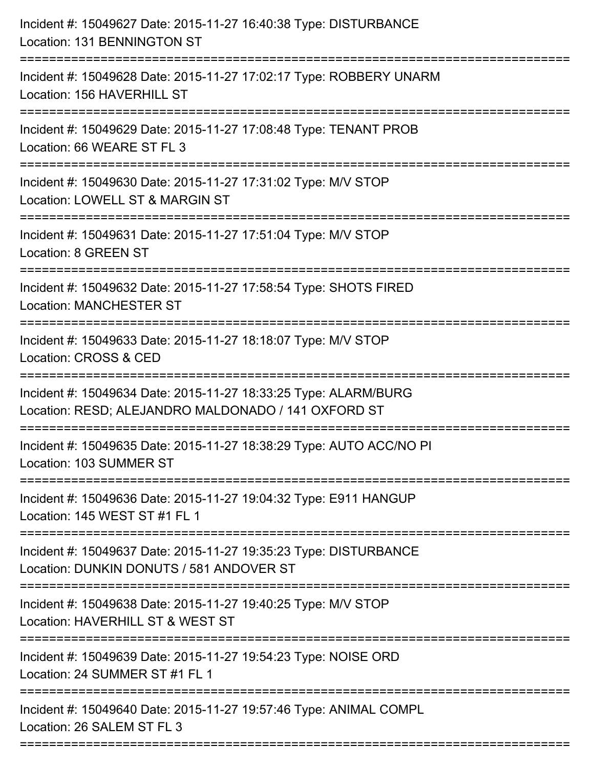| Incident #: 15049627 Date: 2015-11-27 16:40:38 Type: DISTURBANCE<br>Location: 131 BENNINGTON ST                        |
|------------------------------------------------------------------------------------------------------------------------|
| Incident #: 15049628 Date: 2015-11-27 17:02:17 Type: ROBBERY UNARM<br>Location: 156 HAVERHILL ST                       |
| Incident #: 15049629 Date: 2015-11-27 17:08:48 Type: TENANT PROB<br>Location: 66 WEARE ST FL 3                         |
| Incident #: 15049630 Date: 2015-11-27 17:31:02 Type: M/V STOP<br>Location: LOWELL ST & MARGIN ST                       |
| Incident #: 15049631 Date: 2015-11-27 17:51:04 Type: M/V STOP<br>Location: 8 GREEN ST                                  |
| Incident #: 15049632 Date: 2015-11-27 17:58:54 Type: SHOTS FIRED<br><b>Location: MANCHESTER ST</b>                     |
| Incident #: 15049633 Date: 2015-11-27 18:18:07 Type: M/V STOP<br>Location: CROSS & CED                                 |
| Incident #: 15049634 Date: 2015-11-27 18:33:25 Type: ALARM/BURG<br>Location: RESD; ALEJANDRO MALDONADO / 141 OXFORD ST |
| Incident #: 15049635 Date: 2015-11-27 18:38:29 Type: AUTO ACC/NO PI<br>Location: 103 SUMMER ST                         |
| Incident #: 15049636 Date: 2015-11-27 19:04:32 Type: E911 HANGUP<br>Location: 145 WEST ST #1 FL 1                      |
| Incident #: 15049637 Date: 2015-11-27 19:35:23 Type: DISTURBANCE<br>Location: DUNKIN DONUTS / 581 ANDOVER ST           |
| Incident #: 15049638 Date: 2015-11-27 19:40:25 Type: M/V STOP<br>Location: HAVERHILL ST & WEST ST                      |
| Incident #: 15049639 Date: 2015-11-27 19:54:23 Type: NOISE ORD<br>Location: 24 SUMMER ST #1 FL 1                       |
| Incident #: 15049640 Date: 2015-11-27 19:57:46 Type: ANIMAL COMPL<br>Location: 26 SALEM ST FL 3                        |
|                                                                                                                        |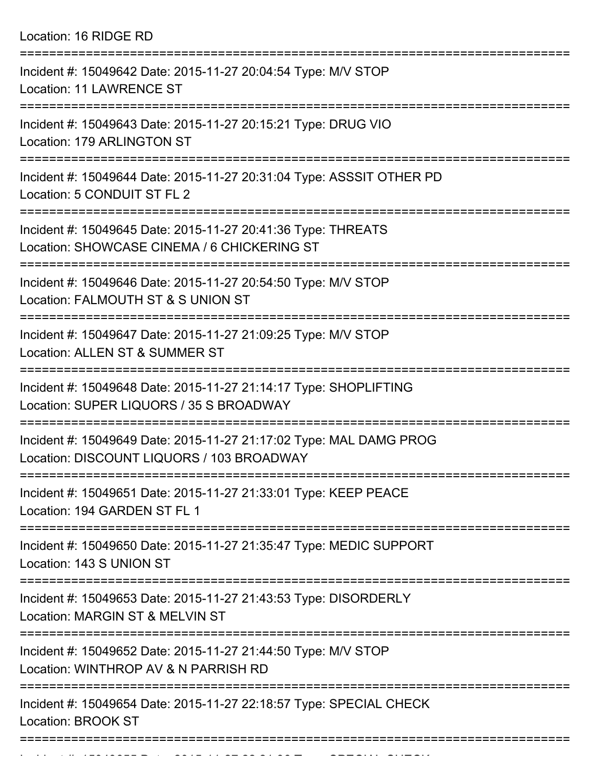|  | Location: 16 RIDGE RD |  |
|--|-----------------------|--|
|--|-----------------------|--|

| Incident #: 15049642 Date: 2015-11-27 20:04:54 Type: M/V STOP<br><b>Location: 11 LAWRENCE ST</b>                  |
|-------------------------------------------------------------------------------------------------------------------|
| Incident #: 15049643 Date: 2015-11-27 20:15:21 Type: DRUG VIO<br>Location: 179 ARLINGTON ST                       |
| Incident #: 15049644 Date: 2015-11-27 20:31:04 Type: ASSSIT OTHER PD<br>Location: 5 CONDUIT ST FL 2               |
| Incident #: 15049645 Date: 2015-11-27 20:41:36 Type: THREATS<br>Location: SHOWCASE CINEMA / 6 CHICKERING ST       |
| Incident #: 15049646 Date: 2015-11-27 20:54:50 Type: M/V STOP<br>Location: FALMOUTH ST & S UNION ST               |
| Incident #: 15049647 Date: 2015-11-27 21:09:25 Type: M/V STOP<br>Location: ALLEN ST & SUMMER ST<br>-------------- |
| Incident #: 15049648 Date: 2015-11-27 21:14:17 Type: SHOPLIFTING<br>Location: SUPER LIQUORS / 35 S BROADWAY       |
| Incident #: 15049649 Date: 2015-11-27 21:17:02 Type: MAL DAMG PROG<br>Location: DISCOUNT LIQUORS / 103 BROADWAY   |
| Incident #: 15049651 Date: 2015-11-27 21:33:01 Type: KEEP PEACE<br>Location: 194 GARDEN ST FL 1                   |
| Incident #: 15049650 Date: 2015-11-27 21:35:47 Type: MEDIC SUPPORT<br>Location: 143 S UNION ST                    |
| Incident #: 15049653 Date: 2015-11-27 21:43:53 Type: DISORDERLY<br>Location: MARGIN ST & MELVIN ST                |
| Incident #: 15049652 Date: 2015-11-27 21:44:50 Type: M/V STOP<br>Location: WINTHROP AV & N PARRISH RD             |
| Incident #: 15049654 Date: 2015-11-27 22:18:57 Type: SPECIAL CHECK<br><b>Location: BROOK ST</b>                   |
|                                                                                                                   |

Incident #: 1504965 Date: 2015 11 27 22:21:36 Type: 2015 2015 2015 2016 11 2016 11 23:21:36<br>.